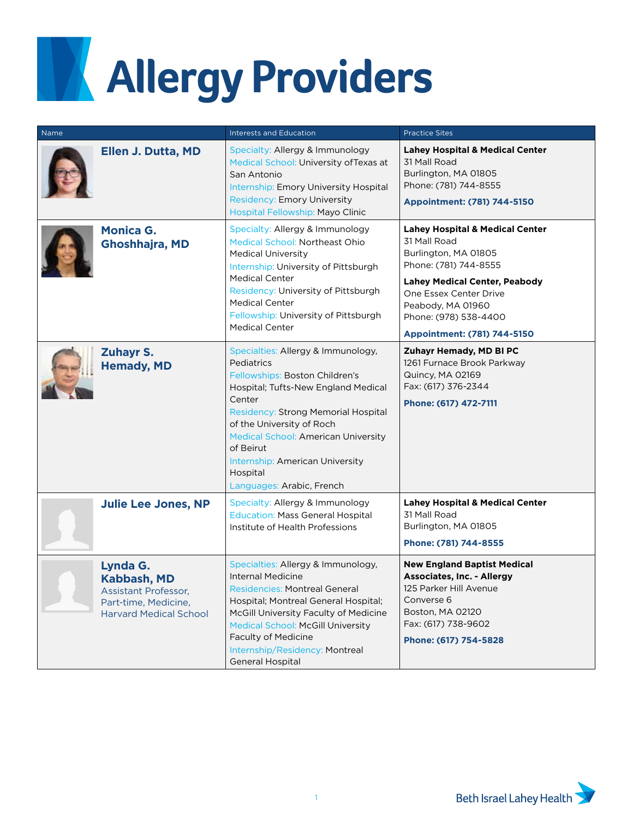## **Allergy Providers Allergy Providers**

| Name |                                                                                                                 | <b>Interests and Education</b>                                                                                                                                                                                                                                                                                                                 | <b>Practice Sites</b>                                                                                                                                                                                                                                      |
|------|-----------------------------------------------------------------------------------------------------------------|------------------------------------------------------------------------------------------------------------------------------------------------------------------------------------------------------------------------------------------------------------------------------------------------------------------------------------------------|------------------------------------------------------------------------------------------------------------------------------------------------------------------------------------------------------------------------------------------------------------|
|      | Ellen J. Dutta, MD                                                                                              | Specialty: Allergy & Immunology<br>Medical School: University of Texas at<br>San Antonio<br>Internship: Emory University Hospital<br><b>Residency: Emory University</b><br>Hospital Fellowship: Mayo Clinic                                                                                                                                    | <b>Lahey Hospital &amp; Medical Center</b><br>31 Mall Road<br>Burlington, MA 01805<br>Phone: (781) 744-8555<br>Appointment: (781) 744-5150                                                                                                                 |
|      | <b>Monica G.</b><br><b>Ghoshhajra, MD</b>                                                                       | Specialty: Allergy & Immunology<br>Medical School: Northeast Ohio<br><b>Medical University</b><br>Internship: University of Pittsburgh<br><b>Medical Center</b><br>Residency: University of Pittsburgh<br><b>Medical Center</b><br>Fellowship: University of Pittsburgh<br><b>Medical Center</b>                                               | <b>Lahey Hospital &amp; Medical Center</b><br>31 Mall Road<br>Burlington, MA 01805<br>Phone: (781) 744-8555<br><b>Lahey Medical Center, Peabody</b><br>One Essex Center Drive<br>Peabody, MA 01960<br>Phone: (978) 538-4400<br>Appointment: (781) 744-5150 |
|      | <b>Zuhayr S.</b><br><b>Hemady, MD</b>                                                                           | Specialties: Allergy & Immunology,<br>Pediatrics<br>Fellowships: Boston Children's<br>Hospital; Tufts-New England Medical<br>Center<br>Residency: Strong Memorial Hospital<br>of the University of Roch<br><b>Medical School: American University</b><br>of Beirut<br>Internship: American University<br>Hospital<br>Languages: Arabic, French | Zuhayr Hemady, MD BI PC<br>1261 Furnace Brook Parkway<br>Quincy, MA 02169<br>Fax: (617) 376-2344<br>Phone: (617) 472-7111                                                                                                                                  |
|      | <b>Julie Lee Jones, NP</b>                                                                                      | Specialty: Allergy & Immunology<br><b>Education: Mass General Hospital</b><br>Institute of Health Professions                                                                                                                                                                                                                                  | <b>Lahey Hospital &amp; Medical Center</b><br>31 Mall Road<br>Burlington, MA 01805<br>Phone: (781) 744-8555                                                                                                                                                |
|      | Lynda G.<br><b>Kabbash, MD</b><br>Assistant Professor,<br>Part-time, Medicine,<br><b>Harvard Medical School</b> | Specialties: Allergy & Immunology,<br><b>Internal Medicine</b><br><b>Residencies: Montreal General</b><br>Hospital; Montreal General Hospital;<br>McGill University Faculty of Medicine<br><b>Medical School: McGill University</b><br><b>Faculty of Medicine</b><br>Internship/Residency: Montreal<br><b>General Hospital</b>                 | <b>New England Baptist Medical</b><br><b>Associates, Inc. - Allergy</b><br>125 Parker Hill Avenue<br>Converse 6<br>Boston, MA 02120<br>Fax: (617) 738-9602<br>Phone: (617) 754-5828                                                                        |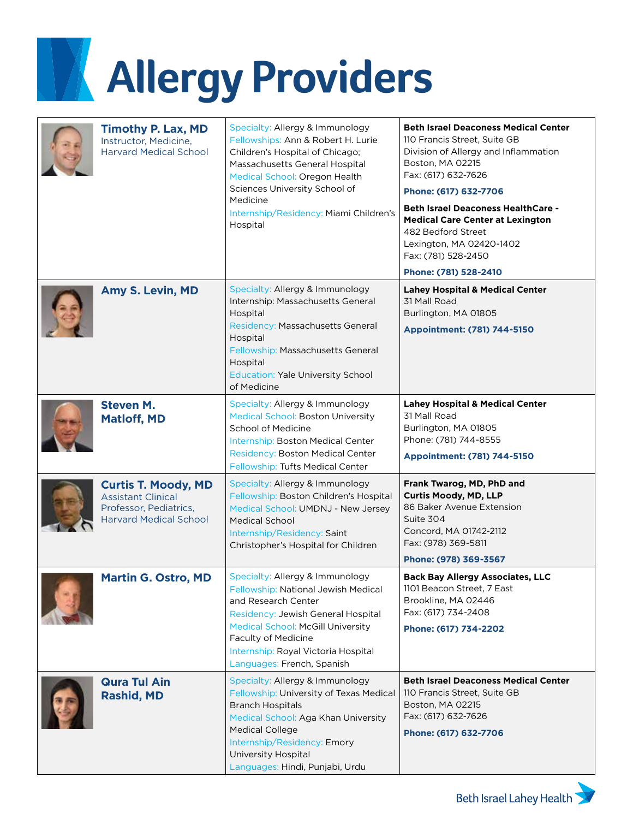## **Allergy Providers**

| <b>Timothy P. Lax, MD</b><br>Instructor, Medicine,<br><b>Harvard Medical School</b>                                | Specialty: Allergy & Immunology<br>Fellowships: Ann & Robert H. Lurie<br>Children's Hospital of Chicago;<br>Massachusetts General Hospital<br>Medical School: Oregon Health<br>Sciences University School of<br>Medicine<br>Internship/Residency: Miami Children's<br>Hospital     | <b>Beth Israel Deaconess Medical Center</b><br>110 Francis Street, Suite GB<br>Division of Allergy and Inflammation<br>Boston, MA 02215<br>Fax: (617) 632-7626<br>Phone: (617) 632-7706<br><b>Beth Israel Deaconess HealthCare -</b><br><b>Medical Care Center at Lexington</b><br>482 Bedford Street<br>Lexington, MA 02420-1402<br>Fax: (781) 528-2450<br>Phone: (781) 528-2410 |
|--------------------------------------------------------------------------------------------------------------------|------------------------------------------------------------------------------------------------------------------------------------------------------------------------------------------------------------------------------------------------------------------------------------|-----------------------------------------------------------------------------------------------------------------------------------------------------------------------------------------------------------------------------------------------------------------------------------------------------------------------------------------------------------------------------------|
| <b>Amy S. Levin, MD</b>                                                                                            | Specialty: Allergy & Immunology<br>Internship: Massachusetts General<br>Hospital<br>Residency: Massachusetts General<br>Hospital<br>Fellowship: Massachusetts General<br>Hospital<br><b>Education: Yale University School</b><br>of Medicine                                       | <b>Lahey Hospital &amp; Medical Center</b><br>31 Mall Road<br>Burlington, MA 01805<br>Appointment: (781) 744-5150                                                                                                                                                                                                                                                                 |
| <b>Steven M.</b><br><b>Matloff, MD</b>                                                                             | Specialty: Allergy & Immunology<br><b>Medical School: Boston University</b><br><b>School of Medicine</b><br>Internship: Boston Medical Center<br>Residency: Boston Medical Center<br>Fellowship: Tufts Medical Center                                                              | <b>Lahey Hospital &amp; Medical Center</b><br>31 Mall Road<br>Burlington, MA 01805<br>Phone: (781) 744-8555<br>Appointment: (781) 744-5150                                                                                                                                                                                                                                        |
| <b>Curtis T. Moody, MD</b><br><b>Assistant Clinical</b><br>Professor, Pediatrics,<br><b>Harvard Medical School</b> | Specialty: Allergy & Immunology<br>Fellowship: Boston Children's Hospital<br>Medical School: UMDNJ - New Jersey<br><b>Medical School</b><br>Internship/Residency: Saint<br>Christopher's Hospital for Children                                                                     | Frank Twarog, MD, PhD and<br><b>Curtis Moody, MD, LLP</b><br>86 Baker Avenue Extension<br>Suite 304<br>Concord, MA 01742-2112<br>Fax: (978) 369-5811<br>Phone: (978) 369-3567                                                                                                                                                                                                     |
| <b>Martin G. Ostro, MD</b>                                                                                         | Specialty: Allergy & Immunology<br>Fellowship: National Jewish Medical<br>and Research Center<br>Residency: Jewish General Hospital<br><b>Medical School: McGill University</b><br><b>Faculty of Medicine</b><br>Internship: Royal Victoria Hospital<br>Languages: French, Spanish | <b>Back Bay Allergy Associates, LLC</b><br>1101 Beacon Street, 7 East<br>Brookline, MA 02446<br>Fax: (617) 734-2408<br>Phone: (617) 734-2202                                                                                                                                                                                                                                      |
| <b>Qura Tul Ain</b><br><b>Rashid, MD</b>                                                                           | Specialty: Allergy & Immunology<br>Fellowship: University of Texas Medical<br><b>Branch Hospitals</b><br>Medical School: Aga Khan University<br><b>Medical College</b><br>Internship/Residency: Emory<br>University Hospital<br>Languages: Hindi, Punjabi, Urdu                    | <b>Beth Israel Deaconess Medical Center</b><br>110 Francis Street, Suite GB<br>Boston, MA 02215<br>Fax: (617) 632-7626<br>Phone: (617) 632-7706                                                                                                                                                                                                                                   |